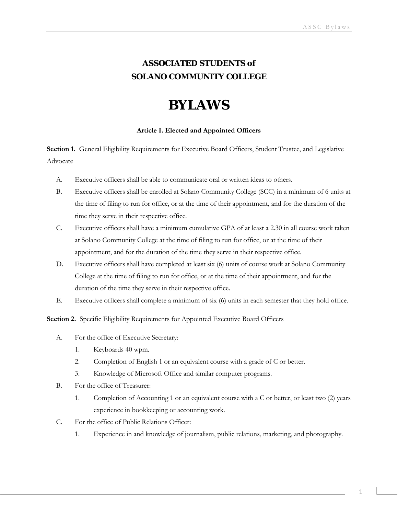# **ASSOCIATED STUDENTS** *of* **SOLANO COMMUNITY COLLEGE**

# **BYLAWS**

## **Article I. Elected and Appointed Officers**

**Section 1.** General Eligibility Requirements for Executive Board Officers, Student Trustee, and Legislative Advocate

- A. Executive officers shall be able to communicate oral or written ideas to others.
- B. Executive officers shall be enrolled at Solano Community College (SCC) in a minimum of 6 units at the time of filing to run for office, or at the time of their appointment, and for the duration of the time they serve in their respective office.
- C. Executive officers shall have a minimum cumulative GPA of at least a 2.30 in all course work taken at Solano Community College at the time of filing to run for office, or at the time of their appointment, and for the duration of the time they serve in their respective office.
- D. Executive officers shall have completed at least six (6) units of course work at Solano Community College at the time of filing to run for office, or at the time of their appointment, and for the duration of the time they serve in their respective office.
- E. Executive officers shall complete a minimum of six (6) units in each semester that they hold office.

**Section 2.** Specific Eligibility Requirements for Appointed Executive Board Officers

- A. For the office of Executive Secretary:
	- 1. Keyboards 40 wpm.
	- 2. Completion of English 1 or an equivalent course with a grade of C or better.
	- 3. Knowledge of Microsoft Office and similar computer programs.
- B. For the office of Treasurer:
	- 1. Completion of Accounting 1 or an equivalent course with a C or better, or least two (2) years experience in bookkeeping or accounting work.
- C. For the office of Public Relations Officer:
	- 1. Experience in and knowledge of journalism, public relations, marketing, and photography.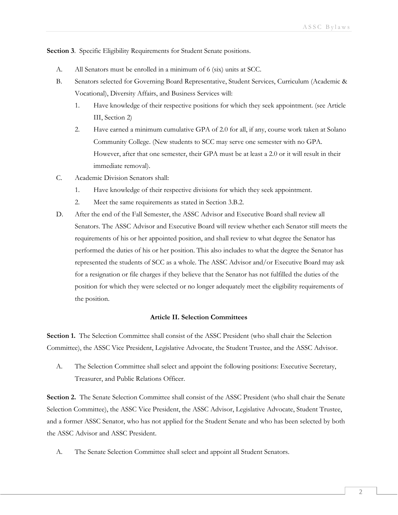**Section 3**. Specific Eligibility Requirements for Student Senate positions.

- A. All Senators must be enrolled in a minimum of 6 (six) units at SCC.
- B. Senators selected for Governing Board Representative, Student Services, Curriculum (Academic & Vocational), Diversity Affairs, and Business Services will:
	- 1. Have knowledge of their respective positions for which they seek appointment. (see Article III, Section 2)
	- 2. Have earned a minimum cumulative GPA of 2.0 for all, if any, course work taken at Solano Community College. (New students to SCC may serve one semester with no GPA. However, after that one semester, their GPA must be at least a 2.0 or it will result in their immediate removal).
- C. Academic Division Senators shall:
	- 1. Have knowledge of their respective divisions for which they seek appointment.
	- 2. Meet the same requirements as stated in Section 3.B.2.
- D. After the end of the Fall Semester, the ASSC Advisor and Executive Board shall review all Senators. The ASSC Advisor and Executive Board will review whether each Senator still meets the requirements of his or her appointed position, and shall review to what degree the Senator has performed the duties of his or her position. This also includes to what the degree the Senator has represented the students of SCC as a whole. The ASSC Advisor and/or Executive Board may ask for a resignation or file charges if they believe that the Senator has not fulfilled the duties of the position for which they were selected or no longer adequately meet the eligibility requirements of the position.

#### **Article II. Selection Committees**

**Section 1.** The Selection Committee shall consist of the ASSC President (who shall chair the Selection Committee), the ASSC Vice President, Legislative Advocate, the Student Trustee, and the ASSC Advisor.

A. The Selection Committee shall select and appoint the following positions: Executive Secretary, Treasurer, and Public Relations Officer.

Section 2. The Senate Selection Committee shall consist of the ASSC President (who shall chair the Senate Selection Committee), the ASSC Vice President, the ASSC Advisor, Legislative Advocate, Student Trustee, and a former ASSC Senator, who has not applied for the Student Senate and who has been selected by both the ASSC Advisor and ASSC President.

A. The Senate Selection Committee shall select and appoint all Student Senators.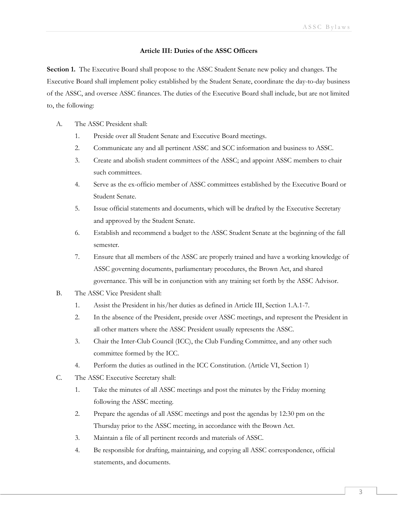### **Article III: Duties of the ASSC Officers**

**Section 1.** The Executive Board shall propose to the ASSC Student Senate new policy and changes. The Executive Board shall implement policy established by the Student Senate, coordinate the day-to-day business of the ASSC, and oversee ASSC finances. The duties of the Executive Board shall include, but are not limited to, the following:

- A. The ASSC President shall:
	- 1. Preside over all Student Senate and Executive Board meetings.
	- 2. Communicate any and all pertinent ASSC and SCC information and business to ASSC.
	- 3. Create and abolish student committees of the ASSC; and appoint ASSC members to chair such committees.
	- 4. Serve as the ex-officio member of ASSC committees established by the Executive Board or Student Senate.
	- 5. Issue official statements and documents, which will be drafted by the Executive Secretary and approved by the Student Senate.
	- 6. Establish and recommend a budget to the ASSC Student Senate at the beginning of the fall semester.
	- 7. Ensure that all members of the ASSC are properly trained and have a working knowledge of ASSC governing documents, parliamentary procedures, the Brown Act, and shared governance. This will be in conjunction with any training set forth by the ASSC Advisor.
- B. The ASSC Vice President shall:
	- 1. Assist the President in his/her duties as defined in Article III, Section 1.A.1-7.
	- 2. In the absence of the President, preside over ASSC meetings, and represent the President in all other matters where the ASSC President usually represents the ASSC.
	- 3. Chair the Inter-Club Council (ICC), the Club Funding Committee, and any other such committee formed by the ICC.
	- 4. Perform the duties as outlined in the ICC Constitution. (Article VI, Section 1)
- C. The ASSC Executive Secretary shall:
	- 1. Take the minutes of all ASSC meetings and post the minutes by the Friday morning following the ASSC meeting.
	- 2. Prepare the agendas of all ASSC meetings and post the agendas by 12:30 pm on the Thursday prior to the ASSC meeting, in accordance with the Brown Act.
	- 3. Maintain a file of all pertinent records and materials of ASSC.
	- 4. Be responsible for drafting, maintaining, and copying all ASSC correspondence, official statements, and documents.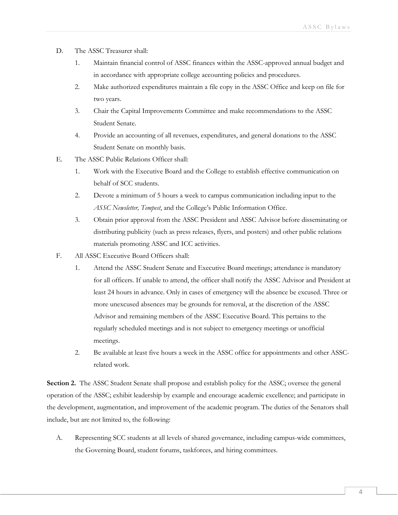- D. The ASSC Treasurer shall:
	- 1. Maintain financial control of ASSC finances within the ASSC-approved annual budget and in accordance with appropriate college accounting policies and procedures.
	- 2. Make authorized expenditures maintain a file copy in the ASSC Office and keep on file for two years.
	- 3. Chair the Capital Improvements Committee and make recommendations to the ASSC Student Senate.
	- 4. Provide an accounting of all revenues, expenditures, and general donations to the ASSC Student Senate on monthly basis.
- E. The ASSC Public Relations Officer shall:
	- 1. Work with the Executive Board and the College to establish effective communication on behalf of SCC students.
	- 2. Devote a minimum of 5 hours a week to campus communication including input to the *ASSC Newsletter, Tempest*, and the College's Public Information Office.
	- 3. Obtain prior approval from the ASSC President and ASSC Advisor before disseminating or distributing publicity (such as press releases, flyers, and posters) and other public relations materials promoting ASSC and ICC activities.
- F. All ASSC Executive Board Officers shall:
	- 1. Attend the ASSC Student Senate and Executive Board meetings; attendance is mandatory for all officers. If unable to attend, the officer shall notify the ASSC Advisor and President at least 24 hours in advance. Only in cases of emergency will the absence be excused. Three or more unexcused absences may be grounds for removal, at the discretion of the ASSC Advisor and remaining members of the ASSC Executive Board. This pertains to the regularly scheduled meetings and is not subject to emergency meetings or unofficial meetings.
	- 2. Be available at least five hours a week in the ASSC office for appointments and other ASSCrelated work.

**Section 2.** The ASSC Student Senate shall propose and establish policy for the ASSC; oversee the general operation of the ASSC; exhibit leadership by example and encourage academic excellence; and participate in the development, augmentation, and improvement of the academic program. The duties of the Senators shall include, but are not limited to, the following:

A. Representing SCC students at all levels of shared governance, including campus-wide committees, the Governing Board, student forums, taskforces, and hiring committees.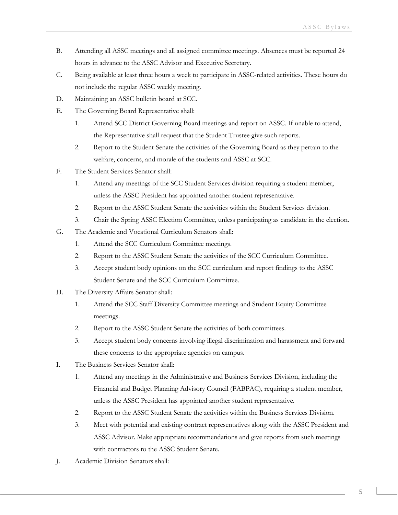- B. Attending all ASSC meetings and all assigned committee meetings. Absences must be reported 24 hours in advance to the ASSC Advisor and Executive Secretary.
- C. Being available at least three hours a week to participate in ASSC-related activities. These hours do not include the regular ASSC weekly meeting.
- D. Maintaining an ASSC bulletin board at SCC.
- E. The Governing Board Representative shall:
	- 1. Attend SCC District Governing Board meetings and report on ASSC. If unable to attend, the Representative shall request that the Student Trustee give such reports.
	- 2. Report to the Student Senate the activities of the Governing Board as they pertain to the welfare, concerns, and morale of the students and ASSC at SCC.
- F. The Student Services Senator shall:
	- 1. Attend any meetings of the SCC Student Services division requiring a student member, unless the ASSC President has appointed another student representative.
	- 2. Report to the ASSC Student Senate the activities within the Student Services division.
	- 3. Chair the Spring ASSC Election Committee, unless participating as candidate in the election.
- G. The Academic and Vocational Curriculum Senators shall:
	- 1. Attend the SCC Curriculum Committee meetings.
	- 2. Report to the ASSC Student Senate the activities of the SCC Curriculum Committee.
	- 3. Accept student body opinions on the SCC curriculum and report findings to the ASSC Student Senate and the SCC Curriculum Committee.
- H. The Diversity Affairs Senator shall:
	- 1. Attend the SCC Staff Diversity Committee meetings and Student Equity Committee meetings.
	- 2. Report to the ASSC Student Senate the activities of both committees.
	- 3. Accept student body concerns involving illegal discrimination and harassment and forward these concerns to the appropriate agencies on campus.
- I. The Business Services Senator shall:
	- 1. Attend any meetings in the Administrative and Business Services Division, including the Financial and Budget Planning Advisory Council (FABPAC), requiring a student member, unless the ASSC President has appointed another student representative.
	- 2. Report to the ASSC Student Senate the activities within the Business Services Division.
	- 3. Meet with potential and existing contract representatives along with the ASSC President and ASSC Advisor. Make appropriate recommendations and give reports from such meetings with contractors to the ASSC Student Senate.
- J. Academic Division Senators shall: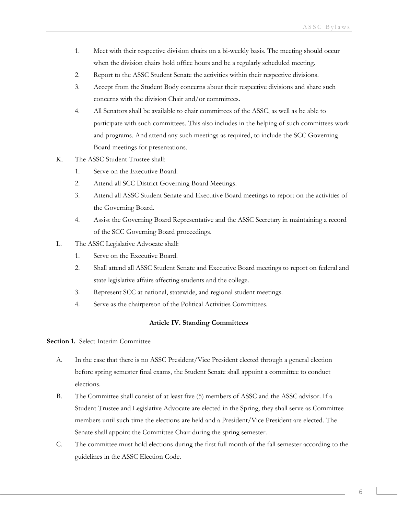- 1. Meet with their respective division chairs on a bi-weekly basis. The meeting should occur when the division chairs hold office hours and be a regularly scheduled meeting.
- 2. Report to the ASSC Student Senate the activities within their respective divisions.
- 3. Accept from the Student Body concerns about their respective divisions and share such concerns with the division Chair and/or committees.
- 4. All Senators shall be available to chair committees of the ASSC, as well as be able to participate with such committees. This also includes in the helping of such committees work and programs. And attend any such meetings as required, to include the SCC Governing Board meetings for presentations.
- K. The ASSC Student Trustee shall:
	- 1. Serve on the Executive Board.
	- 2. Attend all SCC District Governing Board Meetings.
	- 3. Attend all ASSC Student Senate and Executive Board meetings to report on the activities of the Governing Board.
	- 4. Assist the Governing Board Representative and the ASSC Secretary in maintaining a record of the SCC Governing Board proceedings.
- L. The ASSC Legislative Advocate shall:
	- 1. Serve on the Executive Board.
	- 2. Shall attend all ASSC Student Senate and Executive Board meetings to report on federal and state legislative affairs affecting students and the college.
	- 3. Represent SCC at national, statewide, and regional student meetings.
	- 4. Serve as the chairperson of the Political Activities Committees.

#### **Article IV. Standing Committees**

**Section 1.** Select Interim Committee

- A. In the case that there is no ASSC President/Vice President elected through a general election before spring semester final exams, the Student Senate shall appoint a committee to conduct elections.
- B. The Committee shall consist of at least five (5) members of ASSC and the ASSC advisor. If a Student Trustee and Legislative Advocate are elected in the Spring, they shall serve as Committee members until such time the elections are held and a President/Vice President are elected. The Senate shall appoint the Committee Chair during the spring semester.
- C. The committee must hold elections during the first full month of the fall semester according to the guidelines in the ASSC Election Code.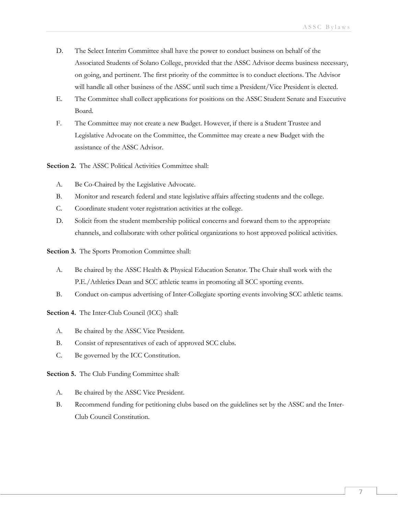- D. The Select Interim Committee shall have the power to conduct business on behalf of the Associated Students of Solano College, provided that the ASSC Advisor deems business necessary, on going, and pertinent. The first priority of the committee is to conduct elections. The Advisor will handle all other business of the ASSC until such time a President/Vice President is elected.
- E. The Committee shall collect applications for positions on the ASSC Student Senate and Executive Board.
- F. The Committee may not create a new Budget. However, if there is a Student Trustee and Legislative Advocate on the Committee, the Committee may create a new Budget with the assistance of the ASSC Advisor.

**Section 2.** The ASSC Political Activities Committee shall:

- A. Be Co-Chaired by the Legislative Advocate.
- B. Monitor and research federal and state legislative affairs affecting students and the college.
- C. Coordinate student voter registration activities at the college.
- D. Solicit from the student membership political concerns and forward them to the appropriate channels, and collaborate with other political organizations to host approved political activities.

**Section 3.** The Sports Promotion Committee shall:

- A. Be chaired by the ASSC Health & Physical Education Senator. The Chair shall work with the P.E./Athletics Dean and SCC athletic teams in promoting all SCC sporting events.
- B. Conduct on-campus advertising of Inter-Collegiate sporting events involving SCC athletic teams.

**Section 4.** The Inter-Club Council (ICC) shall:

- A. Be chaired by the ASSC Vice President.
- B. Consist of representatives of each of approved SCC clubs.
- C. Be governed by the ICC Constitution.

**Section 5.** The Club Funding Committee shall:

- A. Be chaired by the ASSC Vice President.
- B. Recommend funding for petitioning clubs based on the guidelines set by the ASSC and the Inter-Club Council Constitution.